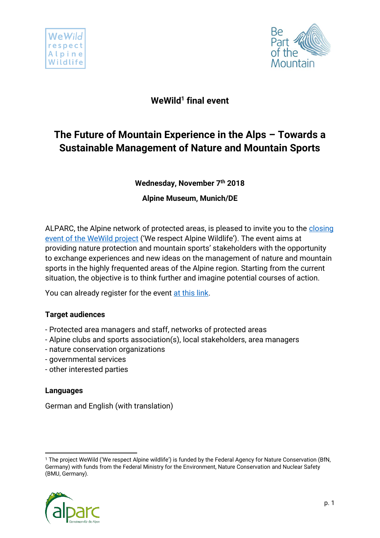



## **WeWild<sup>1</sup> final event**

# **The Future of Mountain Experience in the Alps – Towards a Sustainable Management of Nature and Mountain Sports**

**Wednesday, November 7 th 2018**

**Alpine Museum, Munich/DE**

ALPARC, the Alpine network of protected areas, is pleased to invite you to the [closing](http://www.alparc.org/wewild-project-closing-event/view/form)  [event of the WeWild](http://www.alparc.org/wewild-project-closing-event/view/form) [project](http://www.alparc.org/wewild-project-closing-event/view/form) ('We respect Alpine Wildlife'). The event aims at providing nature protection and mountain sports' stakeholders with the opportunity to exchange experiences and new ideas on the management of nature and mountain sports in the highly frequented areas of the Alpine region. Starting from the current situation, the objective is to think further and imagine potential courses of action.

You can already register for the event [at this link.](http://www.alparc.org/wewild-project-closing-event/view/form)

## **Target audiences**

- Protected area managers and staff, networks of protected areas
- Alpine clubs and sports association(s), local stakeholders, area managers
- nature conservation organizations
- governmental services
- other interested parties

### **Languages**

German and English (with translation)

**<sup>.</sup>** <sup>1</sup> The project WeWild ('We respect Alpine wildlife') is funded by the Federal Agency for Nature Conservation (BfN, Germany) with funds from the Federal Ministry for the Environment, Nature Conservation and Nuclear Safety (BMU, Germany).

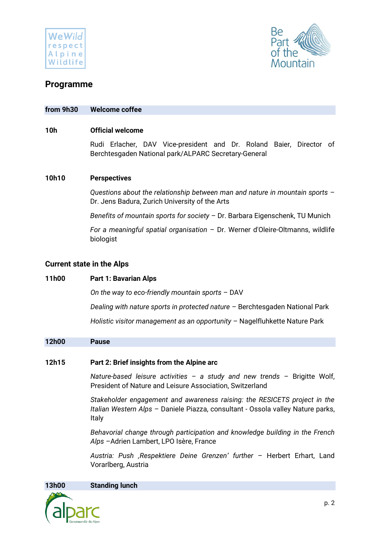



## **Programme**

#### **from 9h30 Welcome coffee**

#### **10h Official welcome**

Rudi Erlacher, DAV Vice-president and Dr. Roland Baier, Director of Berchtesgaden National park/ALPARC Secretary-General

#### **10h10 Perspectives**

*Questions about the relationship between man and nature in mountain sports* – Dr. Jens Badura, Zurich University of the Arts

*Benefits of mountain sports for society* – Dr. Barbara Eigenschenk, TU Munich

*For a meaningful spatial organisation* – Dr. Werner d'Oleire-Oltmanns, wildlife biologist

#### **Current state in the Alps**

#### **11h00 Part 1: Bavarian Alps**

*On the way to eco-friendly mountain sports* – DAV

*Dealing with nature sports in protected nature* – Berchtesgaden National Park

*Holistic visitor management as an opportunity* – Nagelfluhkette Nature Park

#### **12h00 Pause**

#### **12h15 Part 2: Brief insights from the Alpine arc**

*Nature-based leisure activities – a study and new trends* – Brigitte Wolf, President of Nature and Leisure Association, Switzerland

*Stakeholder engagement and awareness raising: the RESICETS project in the Italian Western Alps* – Daniele Piazza, consultant - Ossola valley Nature parks, Italy

*Behavorial change through participation and knowledge building in the French Alps* –Adrien Lambert, LPO Isère, France

*Austria: Push 'Respektiere Deine Grenzen' further* – Herbert Erhart, Land Vorarlberg, Austria

**13h00 Standing lunch**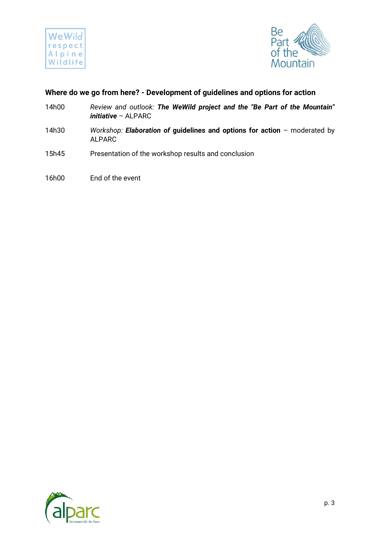



### **Where do we go from here? - Development of guidelines and options for action**

- 14h00 *Review and outlook: The WeWild project and the "Be Part of the Mountain" initiative* – ALPARC
- 14h30 *Workshop: Elaboration of* **guidelines and options for action** moderated by ALPARC
- 15h45 Presentation of the workshop results and conclusion
- 16h00 End of the event